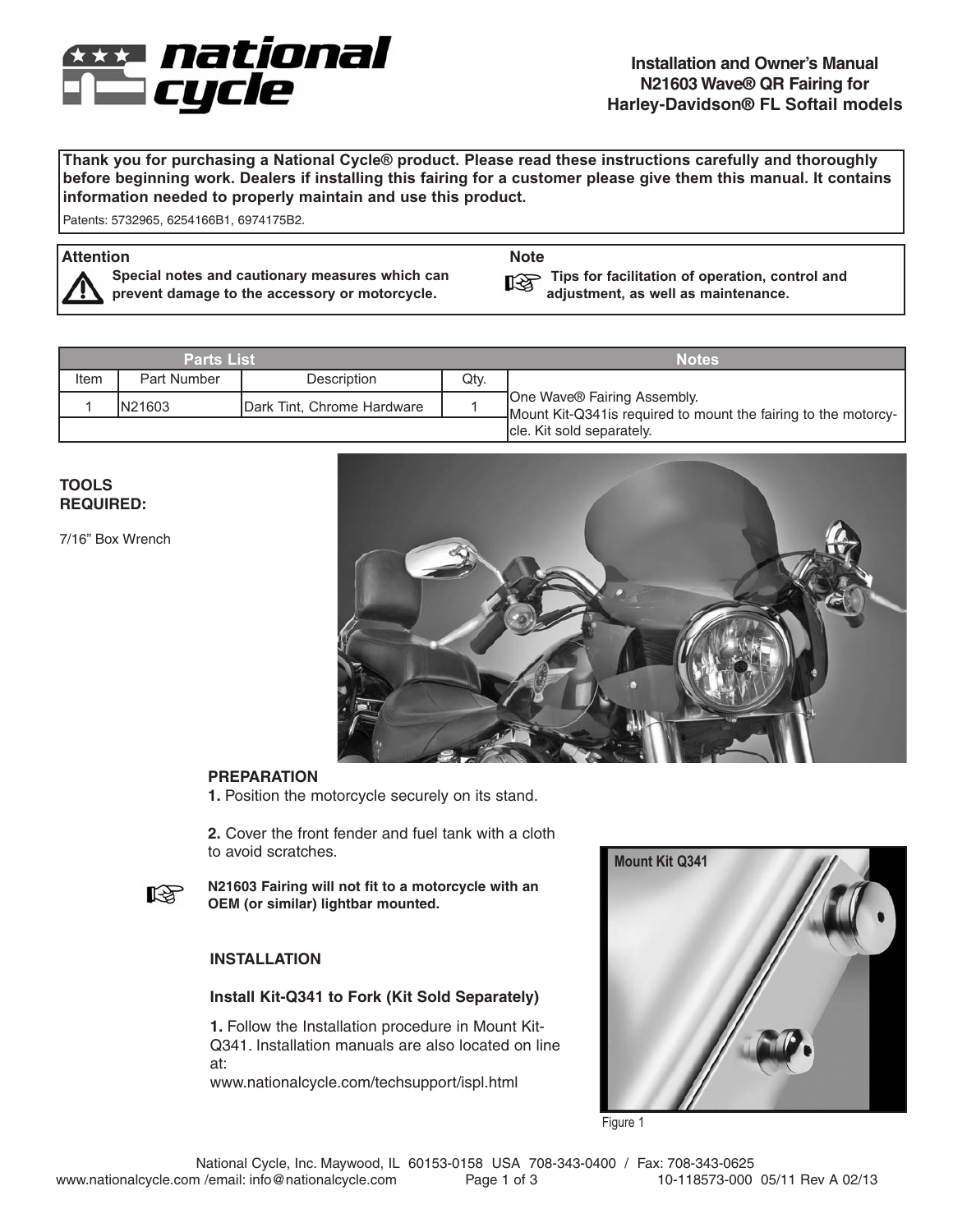

**Thank you for purchasing a National Cycle® product. Please read these instructions carefully and thoroughly before beginning work. Dealers if installing this fairing for a customer please give them this manual. It contains information needed to properly maintain and use this product.**

Patents: 5732965, 6254166B1, 6974175B2.

# **Attention Note**

**Special notes and cautionary measures which can prevent damage to the accessory or motorcycle.**

**Tips for facilitation of operation, control and adjustment, as well as maintenance.**

| <b>Parts List</b> |             |                            | <b>Notes</b> |                                                                                                 |
|-------------------|-------------|----------------------------|--------------|-------------------------------------------------------------------------------------------------|
| Item              | Part Number | Description                | Qty.         |                                                                                                 |
|                   | IN21603     | Dark Tint, Chrome Hardware |              | One Wave® Fairing Assembly.<br>-Mount Kit-Q341 is required to mount the fairing to the motorcy- |
|                   |             |                            |              | Icle. Kit sold separately.                                                                      |

# **TOOLS REQUIRED:**

7/16" Box Wrench



# **PREPARATION**

**1.** Position the motorcycle securely on its stand.

**2.** Cover the front fender and fuel tank with a cloth to avoid scratches.



**N21603 Fairing will not fit to a motorcycle with an OEM (or similar) lightbar mounted.**

# **INSTALLATION**

### **Install Kit-Q341 to Fork (Kit Sold Separately)**

**1.** Follow the Installation procedure in Mount Kit-Q341. Installation manuals are also located on line at:

www.nationalcycle.com/techsupport/ispl.html



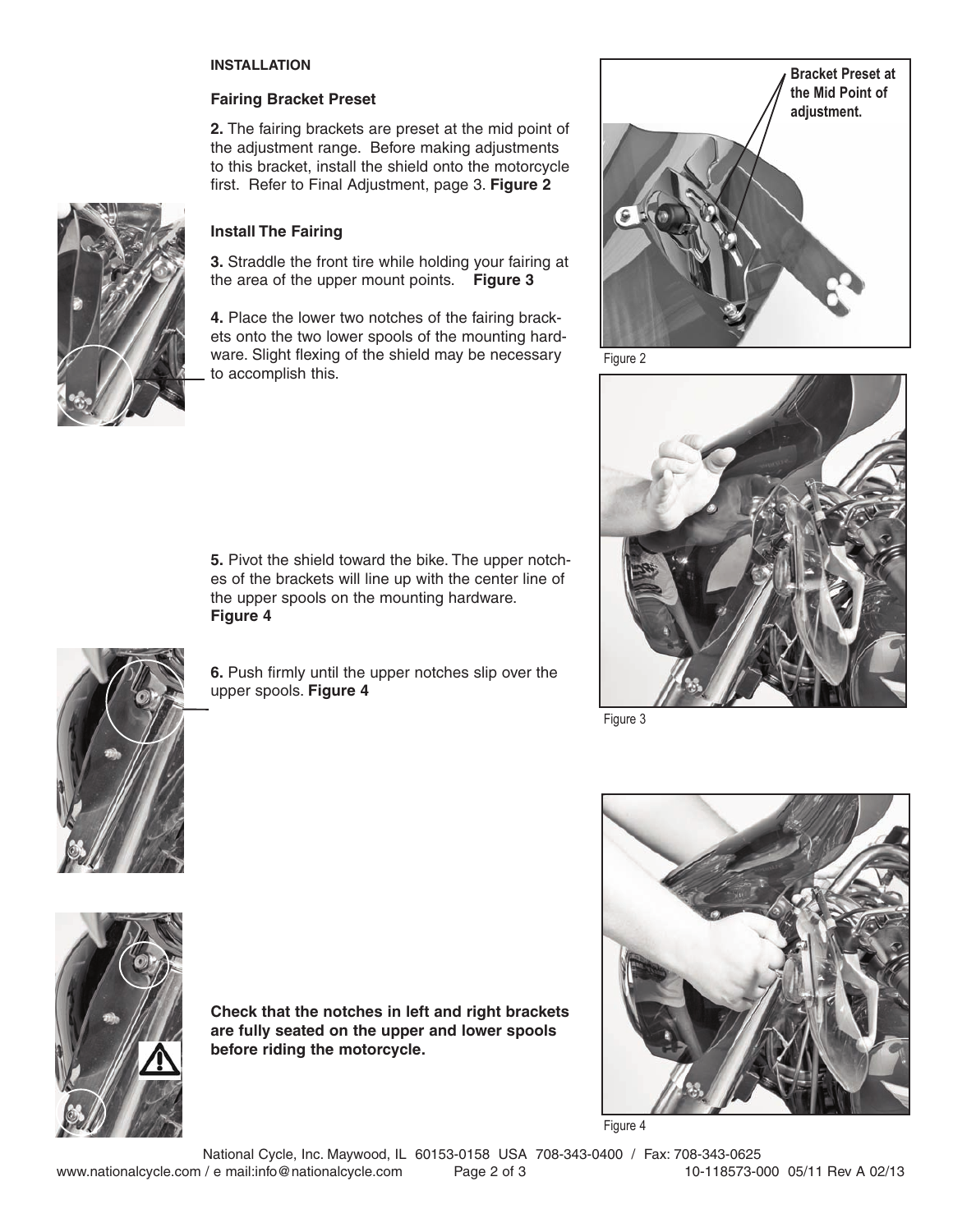#### **INSTALLATION**

#### **Fairing Bracket Preset**

**2.** The fairing brackets are preset at the mid point of the adjustment range. Before making adjustments to this bracket, install the shield onto the motorcycle first. Refer to Final Adjustment, page 3. **Figure 2**



#### **Install The Fairing**

**3.** Straddle the front tire while holding your fairing at the area of the upper mount points. **Figure 3**

**4.** Place the lower two notches of the fairing brackets onto the two lower spools of the mounting hardware. Slight flexing of the shield may be necessary to accomplish this.

**5.** Pivot the shield toward the bike. The upper notches of the brackets will line up with the center line of the upper spools on the mounting hardware. **Figure 4**

**6.** Push firmly until the upper notches slip over the upper spools. **Figure 4**





Figure 3